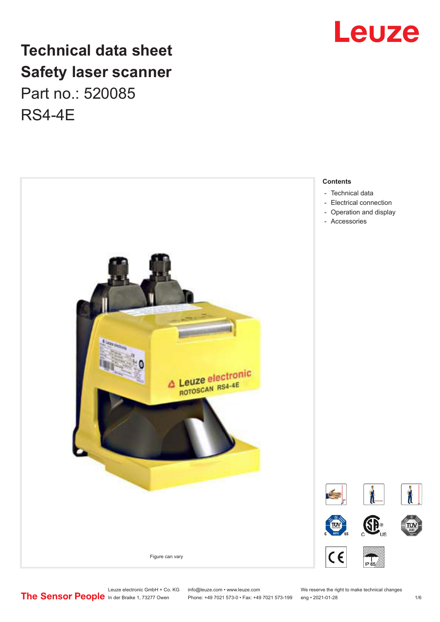

## **Technical data sheet Safety laser scanner** Part no.: 520085 RS4-4E



Leuze electronic GmbH + Co. KG info@leuze.com • www.leuze.com We reserve the right to make technical changes<br>
The Sensor People in der Braike 1, 73277 Owen Phone: +49 7021 573-0 • Fax: +49 7021 573-199 eng • 2021-01-28

Phone: +49 7021 573-0 • Fax: +49 7021 573-199 eng • 2021-01-28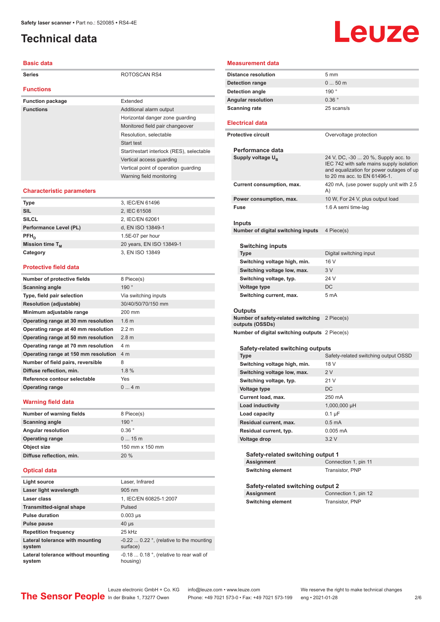## <span id="page-1-0"></span>**Technical data**

#### **Basic data**

| <b>Series</b>           | ROTOSCAN RS4                              |
|-------------------------|-------------------------------------------|
| <b>Functions</b>        |                                           |
| <b>Function package</b> | Extended                                  |
| <b>Functions</b>        | Additional alarm output                   |
|                         | Horizontal danger zone quarding           |
|                         | Monitored field pair changeover           |
|                         | Resolution, selectable                    |
|                         | Start test                                |
|                         | Start/restart interlock (RES), selectable |
|                         | Vertical access quarding                  |
|                         | Vertical point of operation quarding      |
|                         | Warning field monitoring                  |

#### **Characteristic parameters**

| <b>Type</b>            | 3, IEC/EN 61496          |
|------------------------|--------------------------|
| <b>SIL</b>             | 2, IEC 61508             |
| <b>SILCL</b>           | 2, IEC/EN 62061          |
| Performance Level (PL) | d, EN ISO 13849-1        |
| $PFH_{n}$              | 1.5E-07 per hour         |
| Mission time $T_M$     | 20 years, EN ISO 13849-1 |
| Category               | 3, EN ISO 13849          |
|                        |                          |

#### **Protective field data**

| Number of protective fields          | 8 Piece(s)           |
|--------------------------------------|----------------------|
| Scanning angle                       | 190°                 |
| Type, field pair selection           | Via switching inputs |
| <b>Resolution (adjustable)</b>       | 30/40/50/70/150 mm   |
| Minimum adjustable range             | 200 mm               |
| Operating range at 30 mm resolution  | 1.6 <sub>m</sub>     |
| Operating range at 40 mm resolution  | 2.2 m                |
| Operating range at 50 mm resolution  | 2.8 <sub>m</sub>     |
| Operating range at 70 mm resolution  | 4 m                  |
| Operating range at 150 mm resolution | 4 m                  |
| Number of field pairs, reversible    | 8                    |
| Diffuse reflection, min.             | 1.8%                 |
| Reference contour selectable         | Yes                  |
| <b>Operating range</b>               | 04m                  |

#### **Warning field data**

| Number of warning fields  | 8 Piece(s)        |
|---------------------------|-------------------|
| <b>Scanning angle</b>     | 190°              |
| <b>Angular resolution</b> | $0.36$ $^{\circ}$ |
| <b>Operating range</b>    | 015m              |
| Object size               | 150 mm x 150 mm   |
| Diffuse reflection, min.  | 20%               |
|                           |                   |

#### **Optical data**

| Light source                                 | Laser, Infrared                                                       |
|----------------------------------------------|-----------------------------------------------------------------------|
| Laser light wavelength                       | 905 nm                                                                |
| Laser class                                  | 1, IEC/EN 60825-1:2007                                                |
| <b>Transmitted-signal shape</b>              | Pulsed                                                                |
| <b>Pulse duration</b>                        | $0.003$ µs                                                            |
| <b>Pulse pause</b>                           | $40 \mu s$                                                            |
| <b>Repetition frequency</b>                  | 25 kHz                                                                |
| Lateral tolerance with mounting<br>system    | $-0.22$ 0.22 $\degree$ , (relative to the mounting<br>surface)        |
| Lateral tolerance without mounting<br>system | -0.18 $\dots$ 0.18 $^{\circ}$ , (relative to rear wall of<br>housing) |

# Leuze

| Measurement data                                      |                                                                                                                                                             |  |
|-------------------------------------------------------|-------------------------------------------------------------------------------------------------------------------------------------------------------------|--|
| <b>Distance resolution</b>                            | 5 mm                                                                                                                                                        |  |
| <b>Detection range</b>                                | $050$ m                                                                                                                                                     |  |
| Detection angle                                       | 190°                                                                                                                                                        |  |
| <b>Angular resolution</b>                             | $0.36$ $^{\circ}$                                                                                                                                           |  |
| <b>Scanning rate</b>                                  | 25 scans/s                                                                                                                                                  |  |
|                                                       |                                                                                                                                                             |  |
| <b>Electrical data</b>                                |                                                                                                                                                             |  |
| <b>Protective circuit</b>                             | Overvoltage protection                                                                                                                                      |  |
| Performance data                                      |                                                                                                                                                             |  |
| Supply voltage $U_{B}$                                | 24 V, DC, -30  20 %, Supply acc. to<br>IEC 742 with safe mains supply isolation<br>and equalization for power outages of up<br>to 20 ms acc. to EN 61496-1. |  |
| Current consumption, max.                             | 420 mA, (use power supply unit with 2.5<br>A)                                                                                                               |  |
| Power consumption, max.                               | 10 W, For 24 V, plus output load                                                                                                                            |  |
| Fuse                                                  | 1.6 A semi time-lag                                                                                                                                         |  |
|                                                       |                                                                                                                                                             |  |
| Inputs<br>Number of digital switching inputs          | 4 Piece(s)                                                                                                                                                  |  |
|                                                       |                                                                                                                                                             |  |
| Switching inputs                                      |                                                                                                                                                             |  |
| Type                                                  | Digital switching input                                                                                                                                     |  |
| Switching voltage high, min.                          | 16 V                                                                                                                                                        |  |
| Switching voltage low, max.                           | 3 V                                                                                                                                                         |  |
| Switching voltage, typ.                               | 24 V                                                                                                                                                        |  |
| <b>Voltage type</b>                                   | DC                                                                                                                                                          |  |
| Switching current, max.                               | 5 mA                                                                                                                                                        |  |
|                                                       |                                                                                                                                                             |  |
| Outputs                                               |                                                                                                                                                             |  |
| Number of safety-related switching<br>outputs (OSSDs) | 2 Piece(s)                                                                                                                                                  |  |
| Number of digital switching outputs 2 Piece(s)        |                                                                                                                                                             |  |
|                                                       |                                                                                                                                                             |  |
| Safety-related switching outputs                      |                                                                                                                                                             |  |
| Type                                                  | Safety-related switching output OSSD                                                                                                                        |  |
| Switching voltage high, min.                          | 18 V                                                                                                                                                        |  |
| Switching voltage low, max.                           | 2V                                                                                                                                                          |  |
| Switching voltage, typ.                               | 21 V                                                                                                                                                        |  |
| Voltage type                                          | DC                                                                                                                                                          |  |
| Current load, max.                                    | 250 mA                                                                                                                                                      |  |
| Load inductivity<br>Load capacity                     | 1,000,000 µH                                                                                                                                                |  |
|                                                       | $0.1 \mu F$<br>0.5 <sub>m</sub> A                                                                                                                           |  |
| Residual current, max.<br>Residual current, typ.      | $0.005$ mA                                                                                                                                                  |  |
| Voltage drop                                          | 3.2V                                                                                                                                                        |  |
|                                                       |                                                                                                                                                             |  |
| Safety-related switching output 1                     |                                                                                                                                                             |  |
| Assignment                                            | Connection 1, pin 11                                                                                                                                        |  |
| <b>Switching element</b>                              | Transistor, PNP                                                                                                                                             |  |
| Safety-related switching output 2                     |                                                                                                                                                             |  |
| <b>Assignment</b>                                     | Connection 1, pin 12                                                                                                                                        |  |
| <b>Switching element</b>                              | Transistor, PNP                                                                                                                                             |  |
|                                                       |                                                                                                                                                             |  |
|                                                       |                                                                                                                                                             |  |
|                                                       |                                                                                                                                                             |  |

Leuze electronic GmbH + Co. KG info@leuze.com • www.leuze.com We reserve the right to make technical changes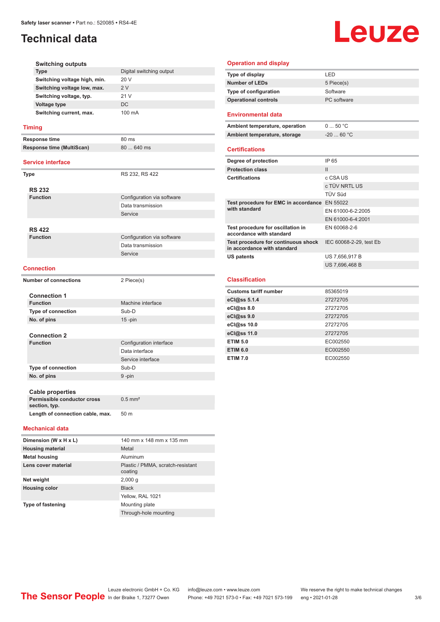## **Technical data**

# Leuze

|      | <b>Switching outputs</b>                     |                                           |
|------|----------------------------------------------|-------------------------------------------|
|      | <b>Type</b>                                  | Digital switching output                  |
|      | Switching voltage high, min.                 | 20 V                                      |
|      | Switching voltage low, max.                  | 2V                                        |
|      | Switching voltage, typ.                      | 21 V                                      |
|      | <b>Voltage type</b>                          | DC.                                       |
|      | Switching current, max.                      | 100 mA                                    |
|      | <b>Timing</b>                                |                                           |
|      | Response time                                | 80 ms                                     |
|      | <b>Response time (MultiScan)</b>             | 80  640 ms                                |
|      | <b>Service interface</b>                     |                                           |
| Type |                                              | RS 232, RS 422                            |
|      |                                              |                                           |
|      | <b>RS 232</b>                                |                                           |
|      | <b>Function</b>                              | Configuration via software                |
|      |                                              | Data transmission                         |
|      |                                              | Service                                   |
|      |                                              |                                           |
|      | <b>RS 422</b>                                |                                           |
|      | <b>Function</b>                              | Configuration via software                |
|      |                                              | Data transmission                         |
|      |                                              | Service                                   |
|      | <b>Connection</b>                            |                                           |
|      | <b>Number of connections</b>                 | 2 Piece(s)                                |
|      | <b>Connection 1</b>                          |                                           |
|      | <b>Function</b>                              | Machine interface                         |
|      | <b>Type of connection</b>                    | Sub-D                                     |
|      | No. of pins                                  | $15$ -pin                                 |
|      |                                              |                                           |
|      | <b>Connection 2</b><br><b>Function</b>       |                                           |
|      |                                              | Configuration interface<br>Data interface |
|      |                                              |                                           |
|      |                                              | Service interface<br>Sub-D                |
|      | <b>Type of connection</b>                    |                                           |
|      | No. of pins                                  | 9-pin                                     |
|      | <b>Cable properties</b>                      |                                           |
|      | Permissible conductor cross<br>section, typ. | $0.5$ mm <sup>2</sup>                     |
|      | Length of connection cable, max.             | 50 m                                      |
|      | <b>Mechanical data</b>                       |                                           |
|      | Dimension (W x H x L)                        | 140 mm x 148 mm x 135 mm                  |
|      | <b>Housing material</b>                      | Metal                                     |
|      | <b>Metal housing</b>                         | Aluminum                                  |
|      | Lens cover material                          | Plastic / PMMA, scratch-resistant         |
|      |                                              | coating                                   |
|      | Net weight                                   | 2,000 g                                   |

| Type of display                                                    | LED                     |
|--------------------------------------------------------------------|-------------------------|
| <b>Number of LEDs</b>                                              | 5 Piece(s)              |
| Type of configuration                                              | Software                |
| <b>Operational controls</b>                                        | PC software             |
| <b>Environmental data</b>                                          |                         |
| Ambient temperature, operation                                     | 050 °C                  |
| Ambient temperature, storage                                       | $-2060 °C$              |
| <b>Certifications</b>                                              |                         |
| Degree of protection                                               | IP 65                   |
| <b>Protection class</b>                                            | $\mathbf{H}$            |
| <b>Certifications</b>                                              | c CSA US                |
|                                                                    | c TÜV NRTL US           |
|                                                                    | <b>TÜV Süd</b>          |
| Test procedure for EMC in accordance EN 55022<br>with standard     |                         |
|                                                                    | EN 61000-6-2:2005       |
|                                                                    | EN 61000-6-4:2001       |
| Test procedure for oscillation in<br>accordance with standard      | EN 60068-2-6            |
| Test procedure for continuous shock<br>in accordance with standard | IEC 60068-2-29, test Eb |
| <b>US patents</b>                                                  | US 7,656,917 B          |
|                                                                    | US 7,696,468 B          |
|                                                                    |                         |
| <b>Classification</b>                                              |                         |
| <b>Customs tariff number</b>                                       | 85365019                |
| eCl@ss 5.1.4                                                       | 27272705                |
| eC <sub>1</sub> @ss 8.0                                            | 27272705                |
| eCl@ss 9.0                                                         | 27272705                |
| 0.0000000                                                          | 27272705                |

**Operation and display**

| $eu(x)$ ss 3.0  | <i>LILILI</i> U <sub>3</sub> |
|-----------------|------------------------------|
| eCl@ss 10.0     | 27272705                     |
| eCl@ss 11.0     | 27272705                     |
| <b>ETIM 5.0</b> | EC002550                     |
| <b>ETIM 6.0</b> | EC002550                     |
| <b>ETIM 7.0</b> | EC002550                     |

| Dimension (W x H x L)    | 140 mm x 148 mm x 135 mm                     |
|--------------------------|----------------------------------------------|
| <b>Housing material</b>  | Metal                                        |
| <b>Metal housing</b>     | Aluminum                                     |
| Lens cover material      | Plastic / PMMA, scratch-resistant<br>coating |
| Net weight               | 2,000q                                       |
| <b>Housing color</b>     | <b>Black</b>                                 |
|                          | Yellow, RAL 1021                             |
| <b>Type of fastening</b> | Mounting plate                               |
|                          | Through-hole mounting                        |

Leuze electronic GmbH + Co. KG info@leuze.com • www.leuze.com We reserve the right to make technical changes ln der Braike 1, 73277 Owen Phone: +49 7021 573-0 • Fax: +49 7021 573-199 eng • 2021-01-28 3/6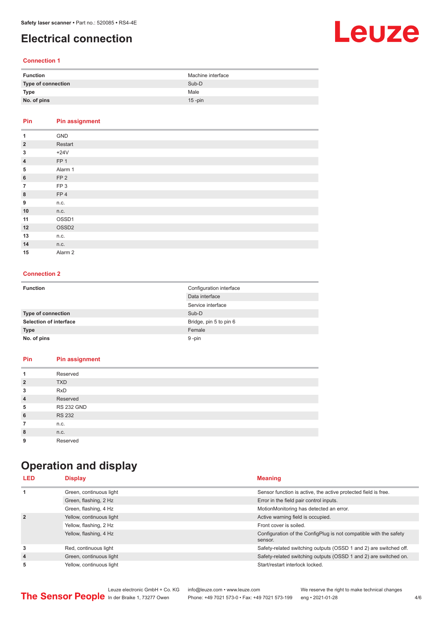## <span id="page-3-0"></span>**Electrical connection**

## Leuze

#### **Connection 1**

| <b>Function</b>    | Machine interface |
|--------------------|-------------------|
| Type of connection | Sub-D             |
| Type               | Male              |
| No. of pins        | $15$ -pin         |

### **Pin Pin assignment**

| 1              | GND                |
|----------------|--------------------|
| $\overline{2}$ | Restart            |
| 3              | $+24V$             |
| $\overline{4}$ | FP <sub>1</sub>    |
| 5              | Alarm 1            |
| $6\phantom{1}$ | FP <sub>2</sub>    |
| $\overline{7}$ | FP <sub>3</sub>    |
| 8              | FP4                |
| 9              | n.c.               |
| 10             | n.c.               |
| 11             | OSSD1              |
| 12             | OSSD <sub>2</sub>  |
| 13             | n.c.               |
| 14             | n.c.               |
| 15             | Alarm <sub>2</sub> |

#### **Connection 2**

| <b>Function</b>               | Configuration interface<br>Data interface<br>Service interface |
|-------------------------------|----------------------------------------------------------------|
| <b>Type of connection</b>     | Sub-D                                                          |
| <b>Selection of interface</b> | Bridge, pin 5 to pin 6                                         |
| <b>Type</b>                   | Female                                                         |
| No. of pins                   | 9-pin                                                          |

## **Pin Pin assignment**

|                | Reserved          |
|----------------|-------------------|
| $\overline{2}$ | <b>TXD</b>        |
| 3              | <b>RxD</b>        |
| $\overline{4}$ | Reserved          |
| 5              | <b>RS 232 GND</b> |
| 6              | <b>RS 232</b>     |
| 7              | n.c.              |
| 8              | n.c.              |
| 9              | Reserved          |

## **Operation and display**

| <b>LED</b>     | <b>Display</b>           | <b>Meaning</b>                                                               |
|----------------|--------------------------|------------------------------------------------------------------------------|
| 1              | Green, continuous light  | Sensor function is active, the active protected field is free.               |
|                | Green, flashing, 2 Hz    | Error in the field pair control inputs.                                      |
|                | Green, flashing, 4 Hz    | MotionMonitoring has detected an error.                                      |
| $\overline{2}$ | Yellow, continuous light | Active warning field is occupied.                                            |
|                | Yellow, flashing, 2 Hz   | Front cover is soiled.                                                       |
|                | Yellow, flashing, 4 Hz   | Configuration of the ConfigPlug is not compatible with the safety<br>sensor. |
| 3              | Red, continuous light    | Safety-related switching outputs (OSSD 1 and 2) are switched off.            |
| $\overline{4}$ | Green, continuous light  | Safety-related switching outputs (OSSD 1 and 2) are switched on.             |
| 5              | Yellow, continuous light | Start/restart interlock locked.                                              |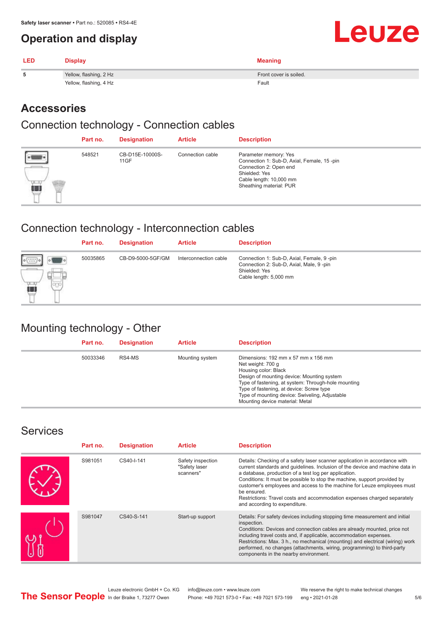## <span id="page-4-0"></span>**Operation and display**

| <b>LED</b> | <b>Display</b>         | <b>Meaning</b>         |
|------------|------------------------|------------------------|
|            | Yellow, flashing, 2 Hz | Front cover is soiled. |
|            | Yellow, flashing, 4 Hz | Fault                  |

## **Accessories**

### Connection technology - Connection cables

|   | Part no. | <b>Designation</b>      | <b>Article</b>   | <b>Description</b>                                                                                                                                                   |
|---|----------|-------------------------|------------------|----------------------------------------------------------------------------------------------------------------------------------------------------------------------|
| â | 548521   | CB-D15E-10000S-<br>11GF | Connection cable | Parameter memory: Yes<br>Connection 1: Sub-D, Axial, Female, 15-pin<br>Connection 2: Open end<br>Shielded: Yes<br>Cable length: 10,000 mm<br>Sheathing material: PUR |

## Connection technology - Interconnection cables

|                       | Part no. | <b>Designation</b> | <b>Article</b>        | <b>Description</b>                                                                                                              |
|-----------------------|----------|--------------------|-----------------------|---------------------------------------------------------------------------------------------------------------------------------|
| $\phi$ ( $7777$<br>íπ | 50035865 | CB-D9-5000-5GF/GM  | Interconnection cable | Connection 1: Sub-D, Axial, Female, 9-pin<br>Connection 2: Sub-D, Axial, Male, 9-pin<br>Shielded: Yes<br>Cable length: 5,000 mm |

## Mounting technology - Other

| Part no. | <b>Designation</b> | <b>Article</b>  | <b>Description</b>                                                                                                                                                                                                                                                                                                     |
|----------|--------------------|-----------------|------------------------------------------------------------------------------------------------------------------------------------------------------------------------------------------------------------------------------------------------------------------------------------------------------------------------|
| 50033346 | RS4-MS             | Mounting system | Dimensions: 192 mm x 57 mm x 156 mm<br>Net weight: 700 g<br>Housing color: Black<br>Design of mounting device: Mounting system<br>Type of fastening, at system: Through-hole mounting<br>Type of fastening, at device: Screw type<br>Type of mounting device: Swiveling, Adjustable<br>Mounting device material: Metal |

## **Services**

| Part no. | <b>Designation</b> | <b>Article</b>                                  | <b>Description</b>                                                                                                                                                                                                                                                                                                                                                                                                                                                                                      |
|----------|--------------------|-------------------------------------------------|---------------------------------------------------------------------------------------------------------------------------------------------------------------------------------------------------------------------------------------------------------------------------------------------------------------------------------------------------------------------------------------------------------------------------------------------------------------------------------------------------------|
| S981051  | CS40-I-141         | Safety inspection<br>"Safety laser<br>scanners" | Details: Checking of a safety laser scanner application in accordance with<br>current standards and guidelines. Inclusion of the device and machine data in<br>a database, production of a test log per application.<br>Conditions: It must be possible to stop the machine, support provided by<br>customer's employees and access to the machine for Leuze employees must<br>be ensured.<br>Restrictions: Travel costs and accommodation expenses charged separately<br>and according to expenditure. |
| S981047  | CS40-S-141         | Start-up support                                | Details: For safety devices including stopping time measurement and initial<br>inspection.<br>Conditions: Devices and connection cables are already mounted, price not<br>including travel costs and, if applicable, accommodation expenses.<br>Restrictions: Max. 3 h., no mechanical (mounting) and electrical (wiring) work<br>performed, no changes (attachments, wiring, programming) to third-party<br>components in the nearby environment.                                                      |

Leuze